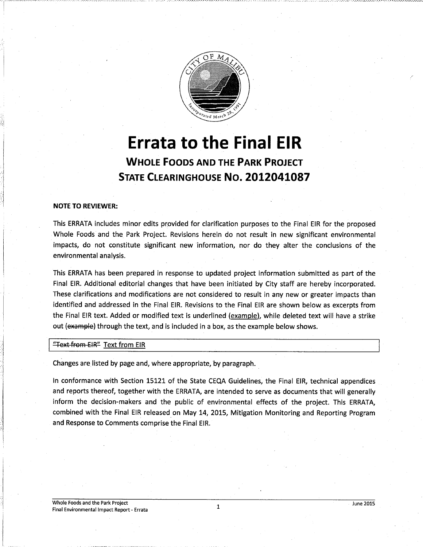

# Errata to the Final EIR WHOLE FOODS AND THE PARK PROJECT STATE CLEARINGHOUSE NO. 2012041087

# NOTE TO REVIEWER:

This ERRATA includes minor edits provided for clarification purposes to the Final EIR for the proposed Whole Foods and the. Park Project. Revisions herein do not result in new significant environmental impacts, do not constitute significant new information, nor do they alter the conclusions of the environmental analysis.

This ERRATA has been prepared in response to updated project information submitted as part of the Final EIR. Additional editorial changes that have been initiated by City staff are hereby incorporated. These clarifications and modifications are not considered to result in any new or greater impacts than identified and addressed in the Final EIR. Revisions to the Final EIR are shown below as excerpts from the Final EIR text. Added or modified text is underlined (example), while deleted text will have a strike out (example) through the text, and is included in a box, as the example below shows.

"Text from EIR" Text from EIR

Changes are listed by page and, where appropriate, by paragraph.

In conformance with Section 15121 of the State CEQA Guidelines, the Final EIR, technical appendices and reports thereof, together with the ERRATA, are intended to serve as documents that will generally inform the decision-makers and the public of environmental effects of the project. This ERRATA, combined with the Final EIR released on May 14, 2015, Mitigation Monitoring and Reporting Program and Response to Comments comprise the Final EIR.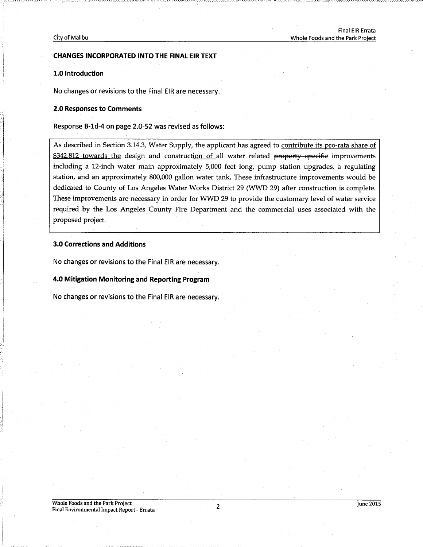#### City of Malibu

# CHANGES INCORPORATED INTO THE FINAL EIR TEXT

# 1.0 Introduction

No changes or revisions to the Final EIR are necessary.

# 2.0 Responses to Comments

Response B-1d-4 on page 2.0-52 was revised as follows:

As described in Section 3.14.3, Water Supply, the applicant has agreed to contribute its pro-rata share of \$342,812 towards the design and construction of all water related property specific improvements including a 12-inch water main approximately 5,000 feet long, pump station upgrades, a regulating station, and an approximately 800,000 gallon water tank. These infrastructure improvements would be dedicated to County of Los Angeles Water Works District 29 (WWD 29) after construction is complete. These improvements are necessary in order for WWD 29 to provide the customary level of water service required by the Los Angeles County Fire Department and the commercial uses associated with the proposed project.

# 3.0 Corrections and Additions

No changes or revisions to the Final EIR are necessary.

4.0 Mitigation Monitoring and Reporting Program

No changes or revisions to the Final EIR are necessary.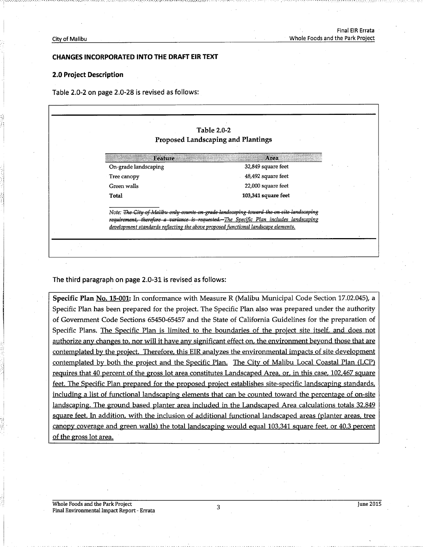# CHANGES INCORPORATED INTO THE DRAFT EIR TEXT

### 2.0 Project Description

Table 2.0-2 on page 2.0-28 is revised as follows:

| <b>Table 2.0-2</b><br><b>Proposed Landscaping and Plantings</b>                    |                                                                                                                                                                                    |
|------------------------------------------------------------------------------------|------------------------------------------------------------------------------------------------------------------------------------------------------------------------------------|
| Feature                                                                            | Area.                                                                                                                                                                              |
| On-grade landscaping                                                               | 32,849 square feet                                                                                                                                                                 |
| Tree canopy                                                                        | 48,492 square feet                                                                                                                                                                 |
| Green walls                                                                        | 22,000 square feet                                                                                                                                                                 |
| Total                                                                              | 103,341 square feet                                                                                                                                                                |
| development standards reflecting the above proposed functional landscape elements. | Note: The City of Malibu only counts on grade landscaping toward the on site landscaping<br>requirement, therefore a variance is requested.-The Specific Plan includes landscaping |

The third paragraph on page 2.0-31 is revised as follows:

Specific Plan No. 15-001: In conformance with Measure R (Malibu Municipal Code Section 17.02.045), a Specific Plan has been prepared for the project. The Specific Plan also was prepared under the authority of Government Code Sections 65450-65457 and the State of California Guidelines for the preparation of Specific Plans. The Specific Plan is limited to the boundaries of the project site itself, and does not authorize any changes to, nor will it have any significant effect on, the environment beyond those that are contemplated by the project. Therefore, this EIR analyzes the environmental impacts of site development contemplated by both the project and the Specific Plan. The City of Malibu Local Coastal Plan (LCP) requires that 40 percent of the gross lot area constitutes Landscaped Area, or, in this case, 102,467 square feet. The Specific Plan prepared for the proposed project establishes site-specific landscaping standards, including a list of functional landscaping elements that can be counted toward the percentage of on-site landscaping. The ground based planter area included in the Landscaped Area calculations totals 32,849 square feet. In addition, with the inclusion of additional functional landscaped areas (planter areas, tree canopy coverage and green walls) the total landscaping would equal 103,341 square feet, or 40.3 percent of the gross lot area.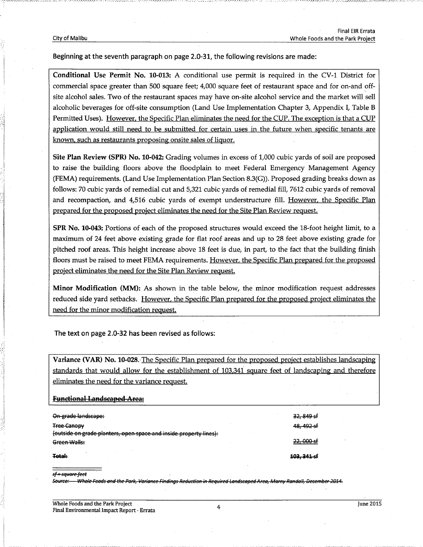Beginning at the seventh paragraph on page 2.0-31, the following revisions are made:

Conditional Use Permit No. 10-013: A conditional use permit is required in the CV-1 District for commercial space greater than 500 square feet; 4,000 square feet of restaurant space and for on-and offsite alcohol sales. Two of the restaurant spaces may have on-site alcohol service and the market will sell alcoholic beverages for off-site consumption (Land Use Implementation Chapter 3, Appendix I, Table B Permitted Uses). However, the Specific Plan eliminates the need for the CUP. The exception is that a CUP application would still need to be submitted for certain uses in the future when specific tenants are known, such as restaurants proposing onsite sales of liquor.

Site Plan Review (SPR) No. 10-042: Grading volumes in excess of 1,000 cubic yards of soil are proposed to raise the building floors above the floodplain to meet Federal Emergency Management Agency (FEMA) requirements. (Land Use Implementation Plan Section 8.3(G)). Proposed grading breaks down as follows: 70 cubic yards of remedial cut and 5,321 cubic yards of remedial fill, 7612 cubic yards of removal and recompaction, and 4,516 cubic yards of exempt understructure fill. However, the Specific Plan prepared for the proposed project eliminates the need for the Site Plan Review request.

SPR No. 10-043: Portions of each of the proposed structures would exceed the 18-foot height limit, to a maximum of 24 feet above existing grade for flat roof areas and up to 28 feet above existing grade for pitched roof areas. This height increase above 18 feet is due, in part, to the fact that the building finish floors must be raised to meet FEMA requirements. However, the Specific Plan prepared for the proposed project eliminates the need for the Site Plan Review request.

Minor Modification (MM): As shown in the table below, the minor modification request addresses reduced side yard setbacks. However, the Specific Plan prepared for the proposed project eliminates the need for the minor modification request.

The text on page 2.0-32 has been revised as follows:

Variance (VAR) No. 10-028. The Specific Plan prepared for the proposed project establishes landscaping standards that would allow for the establishment of 103.341 square feet of landscaping and therefore eliminates the need for the variance request.

#### **Functional Landscaped Area:**

| On-grade landscape:                                                | <del>32, 849 sf</del>  |
|--------------------------------------------------------------------|------------------------|
| <b>Tree Canopy</b>                                                 | 4 <del>8, 492 sf</del> |
| (outside on grade planters, open space and inside property lines): |                        |
| Green Walls:                                                       | <del>22, 000 sf</del>  |
| Total:                                                             | 103, 341 sf            |

#### <del>sf = square feet</del>

-Whole Foods and the Park, Variance Findings Reduction in Required Landscaped Area, Marny Randall, December 2014.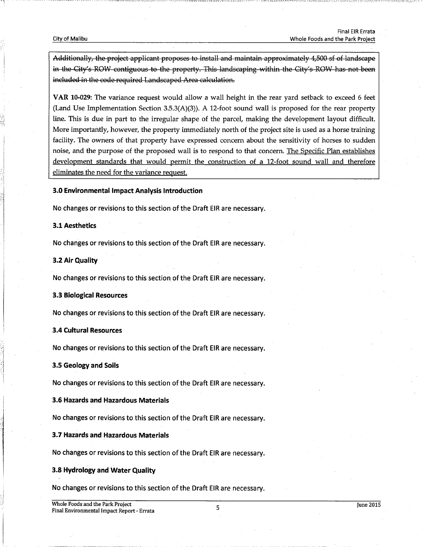Additionally, the project applicant proposes to install and maintain approximately 4,500 sf of landscape in the City's ROW contiguous to the property. This landscaping within the City's ROW has not been included in the code required Landscaped Area calculation.

VAR 10-029: The variance request would allow a wall height in the rear yard setback to exceed 6 feet (Land Use Implementation Section  $3.5.3(A)(3)$ ). A 12-foot sound wall is proposed for the rear property line. This is due in part to the irregular shape of the parcel, making the development layout difficult. More importantly, however, the property immediately north of the project site is used as a horse training facility. The owners of that property have expressed concern about the sensitivity of horses to sudden noise, and the purpose of the proposed wall is to respond to that concern. The Specific Plan establishes development standards that would permit the construction of a 12-foot sound wall and therefore eliminates the need for the variance request.

#### 3.0 Environmental Impact Analysis Introduction

No changes or revisions to this section of the Draft EIR are necessary.

# 3.1 Aesthetics

No changes or revisions to this section of the Draft EIR are necessary.

#### 3.2 Air Quality

No changes or revisions to this section of the Draft EIR are necessary.

#### 3.3 Biological Resources

No changes or revisions to this section of the Draft EIR are necessary.

#### 3.4 Cultural Resources

No changes or revisions to this section of the Draft EIR are necessary.

#### 3.5 Geology and Soils

No changes or revisions to this section of the Draft EIR are necessary.

# 3.6 Hazards and Hazardous Materials

No changes or revisions to this section of the Draft EIR are necessary.

#### 3.7 Hazards and Hazardous Materials

No changes or revisions to this section of the Draft EIR are necessary.

# 3.8 Hydrology and Water Quality

No changes or revisions to this section of the Draft EIR are necessary.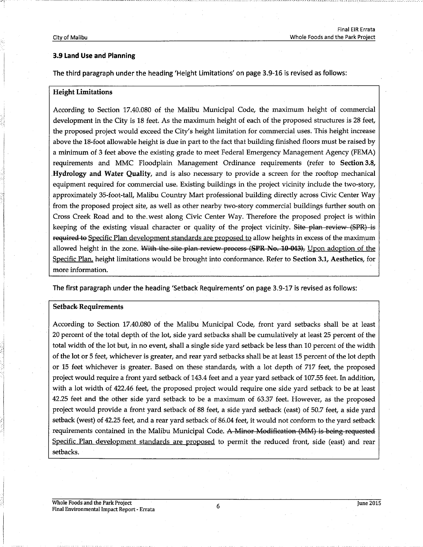# 3.9 Land Use and Planning

The third paragraph under the heading 'Height Limitations' on page 3.9-16 is revised as follows:

# Height Limitations

According to Section 17.40.080 of the Malibu Municipal Code, the maximum height of commercial development in the City is 18 feet. As the maximum height of each of the proposed structures is 28 feet, the proposed project would exceed the City's height limitation for commercial uses. This height increase above the 18-foot allowable height is due in part to the fact that building finished floors must be raised by a minimum of 3 feet above the existing grade to meet Federal Emergency Management Agency (FEMA) requirements and MMC Floodplain Management Ordinance requirements (refer to Section 3.8, .Hydrology and Water Quality, and is also necessary to provide a screen for the rooftop mechanical equipment required for commercial use. Existing buildings in the project vicinity include the two-story, approximately 35-foot-tall, Malibu Country Mart professional building directly across Civic Center Way from the proposed project site, as well as other nearby two-story commercial buildings further south on Cross Creek Road and to the,west along Civic Center Way. Therefore the proposed project is within keeping of the existing visual character or quality of the project vicinity. Site plan review (SPR) is required to Specific Plan development standards are proposed to allow heights in excess of the maximum allowed height in the zone. With the site plan review process  $(SPR No. 10-043)$ , Upon adoption of the Specific Plan, height limitations would be brought into conformance. Refer to Section 3.1, Aesthetics, for more information.

The first paragraph under the heading 'Setback Requirements' on page 3.9-17 is revised as follows:

#### Setback- Requirements

According to Section 17.40.080 of the Malibu Municipal Code, front yard setbacks shall be at least 20 percent of the total depth of the lot, side yard setbacks shall be cumulatively at least 25 percent of the total width of the lot but, in no event, shall a single side yard setback be less than 10 percent of the width of the lot or 5 feet, whichever is greater, and rear yard setbacks shall be at least 15 percent of the lot depth or 15 feet whichever is greater. Based on these standards, with a lot depth of 717 feet, the proposed project would require a front yard setback of 143.4 feet and a year yard setback of 107.55 feet. In addition, with a lot width of 422.46 feet, the proposed project would require one side yard setback to be at least 42.25 feet and the other side yard setback to be a maximum of 63:37 feet. However, as the proposed project would provide a front yard setback of 88 feet, a side yard setback (east) of 50.7 feet, a side yard setback (west) of 42.25 feet, and a rear yard setback of 86.04 feet, it would not conform to the yard setback requirements contained in the Malibu Municipal Code. A Minor Modification (MM) is being requested Specific Plan development standards are proposed to permit the reduced front, side (east) and rear setbacks.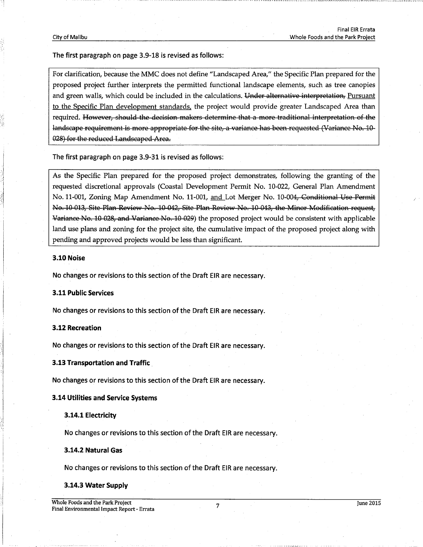The first paragraph on page 3.9-18 is revised as follows:

For clarification, because the MMC does not define "Landscaped Area;" the Specific Plan prepared for the proposed project further interprets the permitted functional landscape elements, such as tree canopies and green walls, which could be included in the calculations. Under alternative interpretation, Pursuant to the Specific Plan development standards, the project would provide greater Landscaped Area than required. However, should the decision makers determine that a more traditional interpretation of the landscape requirement is more appropriate for the site, a variance has been requested (Variance No. 10-028) for the reduced Landscaped Area.

The first paragraph on page 3.9-31 is revised as follows:

As the Specific Plan prepared for the proposed project demonstrates, following the granting of the requested discretional approvals (Coastal Development Permit No. 10-022, General Plan Amendment No. 11-001, Zoning Map Amendment No. 11-001, and Lot Merger No. 10-004, Conditional Use Permit No. 10-013, Site Plan Review No. 10-042, Site Plan Review No. 10-043, the Minor Modification request, Variance No. 10 028, and Variance No. 10 029) the proposed project would be consistent with applicable land use plans and zoning for the project site, the cumulative impact of the proposed project along with pending and approved projects would be less than significant.

### 3.10 Noise

No changes or revisions to this section of the Draft EIR are necessary.

### 3.11 Public Services

No changes or revisions to this section of the Draft EIR are necessary.

### 3.12 Recreation

No changes or revisions to this section of the Draft EIR are necessary.

#### 3.13 Transportation and Traffic .

No changes or revisions to this section of the Draft EIR are necessary.

#### 3.14 Utilities and Service Systems

#### 3.14.1 Electricity

No changes or revisions to this section of the Draft EIR are necessary.

# 3.14.2 Natural Gas

No changes or revisions to this section of the Draft EIR are necessary.

#### 3.14.3 Water Supply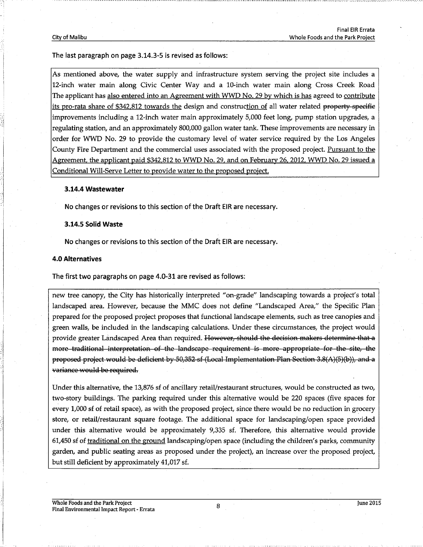The last paragraph on page 3.14.3-5 is revised as follows:

As mentioned above, the water supply and infrastructure system serving the project site includes a 12-inch water main along Civic Center Way and a 10-inch water main along Cross Creek Road The applicant has also entered into an Agreement with WWD No. 29 by which is has agreed to contribute its pro-rata share of \$342,812 towards the design and construction of all water related property-specific improvements including a 12-inch water main approximately 5,000 feet long, pump station upgrades, a regulating station, and an approximately 800,000 gallon water tank. These improvements are necessary in order for WWD No. 29 to provide the customary level of water service required by the Los Angeles County Fire Department and the commercial uses associated with the proposed project. Pursuant to the Agreement, the applicant paid \$342,812 to WWD No. 29, and on February 26, 2012, WWD No. 29 issued a Conditional Will-Serve Letter to provide water to the proposed project.

#### 3.14.4 Wastewater

No changes or revisions to this section of the Draft EIR are necessary.

# 3.14.5 Solid Waste

No changes or revisions to this section of the Draft EIR are necessary.

#### 4.0 Alternatives

The first two paragraphs on page 4.0-31 are revised as follows:

new tree canopy, the City has historically interpreted "on-grade" landscaping towards a project's total landscaped area. However, because the MMC does not define "Landscaped Area," the Specific Plan prepared for the proposed project proposes that functional landscape elements, such as tree canopies and green walls, be included in the landscaping calculations. Under these circumstances, the project would provide greater Landscaped Area than required. However, should the decision makers determine that a more traditional interpretation of the landscape requirement is more appropriate for the site, the proposed project would be deficient by 50,352 sf (Local Implementation Plan Section 3.8(A)(5)(b)), and a variance would be required.

Under this alternative, the 13,876 sf of ancillary retail/restaurant structures, would be constructed as two, two-story buildings. The parking required under this alternative would be 220 spaces (five spaces for every 1,000 sf of retail space), as with the proposed project, since there would be no reduction in grocery store, or retail/restaurant square footage. The additional space for landscaping/open space provided under this alternative would be approximately 9,335 sf. Therefore, this alternative would provide 61,450 sf of traditional on the ground landscaping/open space (including the children's parks, community garden, and public seating areas as proposed under the project), an increase aver the proposed project, but still deficient by approximately 41,017 sf.